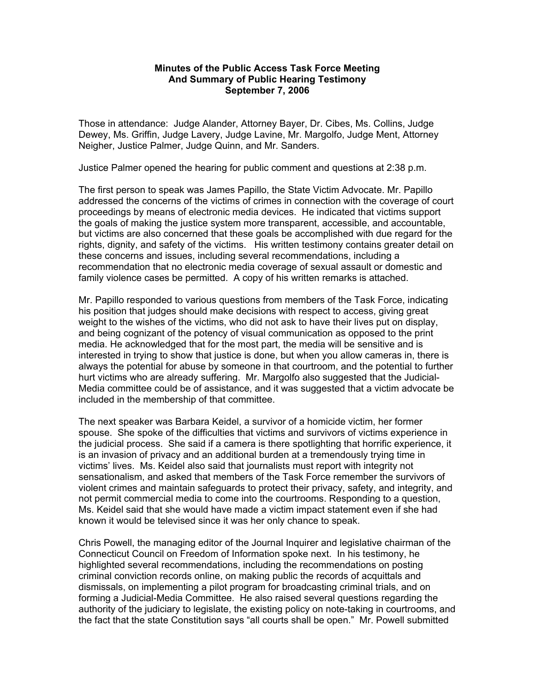## **Minutes of the Public Access Task Force Meeting And Summary of Public Hearing Testimony September 7, 2006**

Those in attendance: Judge Alander, Attorney Bayer, Dr. Cibes, Ms. Collins, Judge Dewey, Ms. Griffin, Judge Lavery, Judge Lavine, Mr. Margolfo, Judge Ment, Attorney Neigher, Justice Palmer, Judge Quinn, and Mr. Sanders.

Justice Palmer opened the hearing for public comment and questions at 2:38 p.m.

The first person to speak was James Papillo, the State Victim Advocate. Mr. Papillo addressed the concerns of the victims of crimes in connection with the coverage of court proceedings by means of electronic media devices. He indicated that victims support the goals of making the justice system more transparent, accessible, and accountable, but victims are also concerned that these goals be accomplished with due regard for the rights, dignity, and safety of the victims. His written testimony contains greater detail on these concerns and issues, including several recommendations, including a recommendation that no electronic media coverage of sexual assault or domestic and family violence cases be permitted. A copy of his written remarks is attached.

Mr. Papillo responded to various questions from members of the Task Force, indicating his position that judges should make decisions with respect to access, giving great weight to the wishes of the victims, who did not ask to have their lives put on display, and being cognizant of the potency of visual communication as opposed to the print media. He acknowledged that for the most part, the media will be sensitive and is interested in trying to show that justice is done, but when you allow cameras in, there is always the potential for abuse by someone in that courtroom, and the potential to further hurt victims who are already suffering. Mr. Margolfo also suggested that the Judicial-Media committee could be of assistance, and it was suggested that a victim advocate be included in the membership of that committee.

The next speaker was Barbara Keidel, a survivor of a homicide victim, her former spouse. She spoke of the difficulties that victims and survivors of victims experience in the judicial process. She said if a camera is there spotlighting that horrific experience, it is an invasion of privacy and an additional burden at a tremendously trying time in victims' lives. Ms. Keidel also said that journalists must report with integrity not sensationalism, and asked that members of the Task Force remember the survivors of violent crimes and maintain safeguards to protect their privacy, safety, and integrity, and not permit commercial media to come into the courtrooms. Responding to a question, Ms. Keidel said that she would have made a victim impact statement even if she had known it would be televised since it was her only chance to speak.

Chris Powell, the managing editor of the Journal Inquirer and legislative chairman of the Connecticut Council on Freedom of Information spoke next. In his testimony, he highlighted several recommendations, including the recommendations on posting criminal conviction records online, on making public the records of acquittals and dismissals, on implementing a pilot program for broadcasting criminal trials, and on forming a Judicial-Media Committee. He also raised several questions regarding the authority of the judiciary to legislate, the existing policy on note-taking in courtrooms, and the fact that the state Constitution says "all courts shall be open." Mr. Powell submitted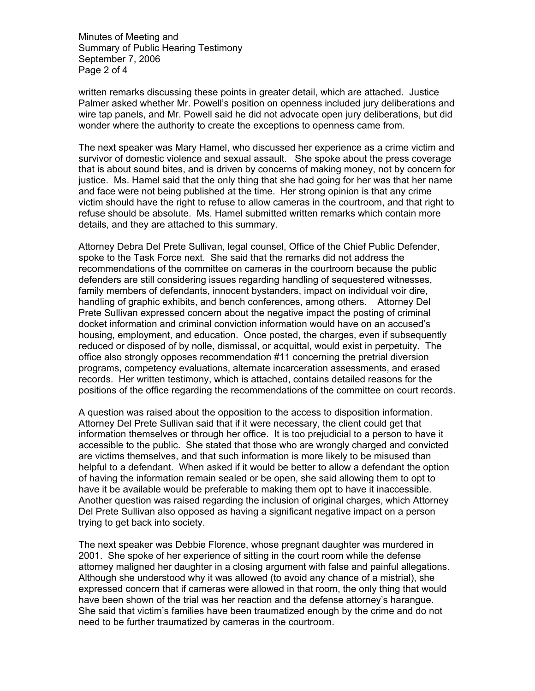Minutes of Meeting and Summary of Public Hearing Testimony September 7, 2006 Page 2 of 4

written remarks discussing these points in greater detail, which are attached. Justice Palmer asked whether Mr. Powell's position on openness included jury deliberations and wire tap panels, and Mr. Powell said he did not advocate open jury deliberations, but did wonder where the authority to create the exceptions to openness came from.

The next speaker was Mary Hamel, who discussed her experience as a crime victim and survivor of domestic violence and sexual assault. She spoke about the press coverage that is about sound bites, and is driven by concerns of making money, not by concern for justice. Ms. Hamel said that the only thing that she had going for her was that her name and face were not being published at the time. Her strong opinion is that any crime victim should have the right to refuse to allow cameras in the courtroom, and that right to refuse should be absolute. Ms. Hamel submitted written remarks which contain more details, and they are attached to this summary.

Attorney Debra Del Prete Sullivan, legal counsel, Office of the Chief Public Defender, spoke to the Task Force next. She said that the remarks did not address the recommendations of the committee on cameras in the courtroom because the public defenders are still considering issues regarding handling of sequestered witnesses, family members of defendants, innocent bystanders, impact on individual voir dire, handling of graphic exhibits, and bench conferences, among others. Attorney Del Prete Sullivan expressed concern about the negative impact the posting of criminal docket information and criminal conviction information would have on an accused's housing, employment, and education. Once posted, the charges, even if subsequently reduced or disposed of by nolle, dismissal, or acquittal, would exist in perpetuity. The office also strongly opposes recommendation #11 concerning the pretrial diversion programs, competency evaluations, alternate incarceration assessments, and erased records. Her written testimony, which is attached, contains detailed reasons for the positions of the office regarding the recommendations of the committee on court records.

A question was raised about the opposition to the access to disposition information. Attorney Del Prete Sullivan said that if it were necessary, the client could get that information themselves or through her office. It is too prejudicial to a person to have it accessible to the public. She stated that those who are wrongly charged and convicted are victims themselves, and that such information is more likely to be misused than helpful to a defendant. When asked if it would be better to allow a defendant the option of having the information remain sealed or be open, she said allowing them to opt to have it be available would be preferable to making them opt to have it inaccessible. Another question was raised regarding the inclusion of original charges, which Attorney Del Prete Sullivan also opposed as having a significant negative impact on a person trying to get back into society.

The next speaker was Debbie Florence, whose pregnant daughter was murdered in 2001. She spoke of her experience of sitting in the court room while the defense attorney maligned her daughter in a closing argument with false and painful allegations. Although she understood why it was allowed (to avoid any chance of a mistrial), she expressed concern that if cameras were allowed in that room, the only thing that would have been shown of the trial was her reaction and the defense attorney's harangue. She said that victim's families have been traumatized enough by the crime and do not need to be further traumatized by cameras in the courtroom.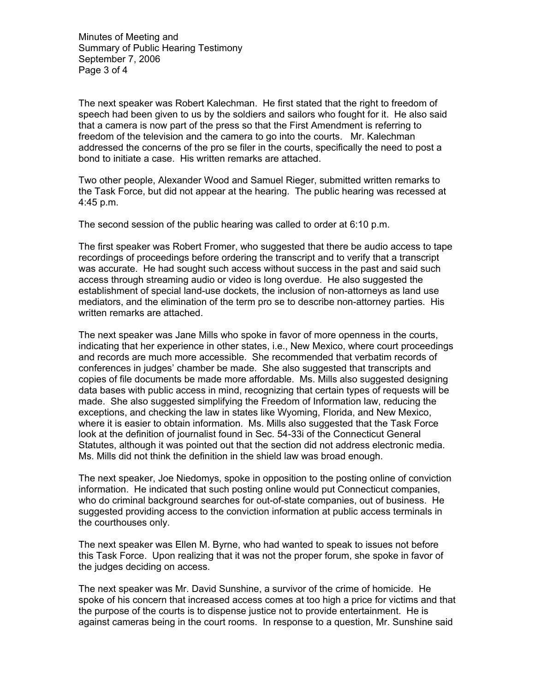Minutes of Meeting and Summary of Public Hearing Testimony September 7, 2006 Page 3 of 4

The next speaker was Robert Kalechman. He first stated that the right to freedom of speech had been given to us by the soldiers and sailors who fought for it. He also said that a camera is now part of the press so that the First Amendment is referring to freedom of the television and the camera to go into the courts. Mr. Kalechman addressed the concerns of the pro se filer in the courts, specifically the need to post a bond to initiate a case. His written remarks are attached.

Two other people, Alexander Wood and Samuel Rieger, submitted written remarks to the Task Force, but did not appear at the hearing. The public hearing was recessed at 4:45 p.m.

The second session of the public hearing was called to order at 6:10 p.m.

The first speaker was Robert Fromer, who suggested that there be audio access to tape recordings of proceedings before ordering the transcript and to verify that a transcript was accurate. He had sought such access without success in the past and said such access through streaming audio or video is long overdue. He also suggested the establishment of special land-use dockets, the inclusion of non-attorneys as land use mediators, and the elimination of the term pro se to describe non-attorney parties. His written remarks are attached.

The next speaker was Jane Mills who spoke in favor of more openness in the courts, indicating that her experience in other states, i.e., New Mexico, where court proceedings and records are much more accessible. She recommended that verbatim records of conferences in judges' chamber be made. She also suggested that transcripts and copies of file documents be made more affordable. Ms. Mills also suggested designing data bases with public access in mind, recognizing that certain types of requests will be made. She also suggested simplifying the Freedom of Information law, reducing the exceptions, and checking the law in states like Wyoming, Florida, and New Mexico, where it is easier to obtain information. Ms. Mills also suggested that the Task Force look at the definition of journalist found in Sec. 54-33i of the Connecticut General Statutes, although it was pointed out that the section did not address electronic media. Ms. Mills did not think the definition in the shield law was broad enough.

The next speaker, Joe Niedomys, spoke in opposition to the posting online of conviction information. He indicated that such posting online would put Connecticut companies, who do criminal background searches for out-of-state companies, out of business. He suggested providing access to the conviction information at public access terminals in the courthouses only.

The next speaker was Ellen M. Byrne, who had wanted to speak to issues not before this Task Force. Upon realizing that it was not the proper forum, she spoke in favor of the judges deciding on access.

The next speaker was Mr. David Sunshine, a survivor of the crime of homicide. He spoke of his concern that increased access comes at too high a price for victims and that the purpose of the courts is to dispense justice not to provide entertainment. He is against cameras being in the court rooms. In response to a question, Mr. Sunshine said